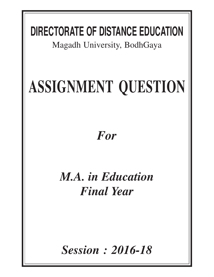## **DIRECTORATE OF DISTANCE EDUCATION**

Magadh University, BodhGaya

# **ASSIGNMENT QUESTION**

### *For*

### *M.A. in Education Final Year*

*Session : 2016-18*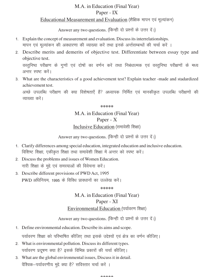#### M.A. in Education (Final Year) Paper - IX Educational Measurement and Evaluation (शैक्षिक मापन एवं मूल्यांकन)

Answer any two questions. (किन्ही दो प्रश्नों के उत्तर दें।)

- 1- Explain the concept of measurement and evaluation. Discuss its interrelationships. मापन एवं मूल्यांकन की अवधारणा की व्याख्या करें तथा इनके अर्न्तसम्बन्धों की चर्चा करें ।
- 2- Describe merits and demerits of objective test. Differentiate between essay type and objective test.

वस्तुनिष्ठ परीक्षण के गुणों एवं दोषों का वर्णन करें तथा निबंधात्मक एवं वस्तुनिष्ठ परीक्षणों के मध्य अन्तर स्पष्ट करें।

3- What are the characteristics of a good achievement test? Explain teacher -made and stadardized achievement test.

अच्छे उपलब्धि परीक्षण की क्या विशेषताएँ हैं? अध्यापक निर्मित एवं मानकीकृत उपलब्धि परीक्षणों की व्याख्या करें।

**\*\*\*\*\***

#### M.A. in Education (Final Year) Paper - X Inclusive Education (समावेशी शिक्षा)

Answer any two questions. (किन्ही दो प्रश्नों के उत्तर दें।)

- 1- Clarify differences among special education, integrated education and inclusive education. विशिष्ट शिक्षा, एकीकृत शिक्षा तथा समावेशी शिक्षा में अन्तर को स्पष्ट करें।
- 2- Discuss the problems and issues of Women Education. नारी शिक्षा के मुद्दे एवं समस्याओं की विवेचना करें।
- 3- Describe different provisions of PWD Act, 1995 PWD अधिनियम, 1995 के विविध प्रावधानों का उल्लेख करें।

**\*\*\*\*\***

#### M.A. in Education (Final Year) Paper - XI Environmental Education (पर्यावरण शिक्षा)

Answer any two questions. (किन्ही दो प्रश्नों के उत्तर दें।)

- 1. Define environmental education. Describe its aims and scope. पर्यावरण शिक्षा को परिभाषित कीजिए तथा इसके उद्देश्यों एवं क्षेत्र का वर्णन कीजिए।
- 2- What is environmental pollution. Discuss its different types. पर्यावरण प्रदूषण क्या है? इसके विभिन्न प्रकारों की चर्चा कीजिए।
- 3- What are the global environmental issues, Discuss it in detail. वैश्विक-पर्यावरणीय मुद्दे क्या है? सविस्तार चर्चा करें ।